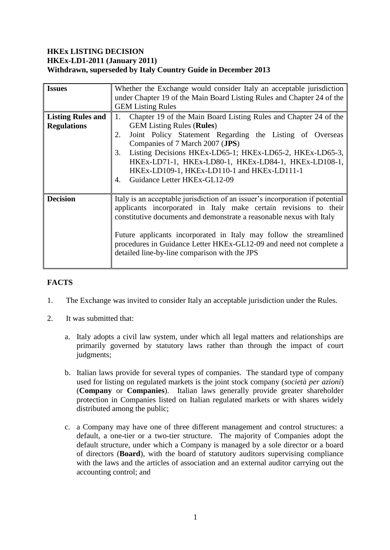## **HKEx LISTING DECISION HKEx-LD1-2011 (January 2011) Withdrawn, superseded by Italy Country Guide in December 2013**

| <b>Issues</b>                                  | Whether the Exchange would consider Italy an acceptable jurisdiction                                                                                                                                                                                                                                                                                                                                                           |
|------------------------------------------------|--------------------------------------------------------------------------------------------------------------------------------------------------------------------------------------------------------------------------------------------------------------------------------------------------------------------------------------------------------------------------------------------------------------------------------|
|                                                | under Chapter 19 of the Main Board Listing Rules and Chapter 24 of the<br><b>GEM Listing Rules</b>                                                                                                                                                                                                                                                                                                                             |
| <b>Listing Rules and</b><br><b>Regulations</b> | Chapter 19 of the Main Board Listing Rules and Chapter 24 of the<br>1.<br><b>GEM Listing Rules (Rules)</b><br>Joint Policy Statement Regarding the Listing of Overseas<br>2.<br>Companies of 7 March 2007 (JPS)<br>Listing Decisions HKEx-LD65-1; HKEx-LD65-2, HKEx-LD65-3,<br>3.<br>HKEx-LD71-1, HKEx-LD80-1, HKEx-LD84-1, HKEx-LD108-1,<br>HKEx-LD109-1, HKEx-LD110-1 and HKEx-LD111-1<br>Guidance Letter HKEx-GL12-09<br>4. |
| <b>Decision</b>                                | Italy is an acceptable jurisdiction of an issuer's incorporation if potential<br>applicants incorporated in Italy make certain revisions to their<br>constitutive documents and demonstrate a reasonable nexus with Italy<br>Future applicants incorporated in Italy may follow the streamlined<br>procedures in Guidance Letter HKEx-GL12-09 and need not complete a<br>detailed line-by-line comparison with the JPS         |

# **FACTS**

- 1. The Exchange was invited to consider Italy an acceptable jurisdiction under the Rules.
- 2. It was submitted that:
	- a. Italy adopts a civil law system, under which all legal matters and relationships are primarily governed by statutory laws rather than through the impact of court judgments;
	- b. Italian laws provide for several types of companies. The standard type of company used for listing on regulated markets is the joint stock company (*società per azioni*) (**Company** or **Companies**). Italian laws generally provide greater shareholder protection in Companies listed on Italian regulated markets or with shares widely distributed among the public;
	- c. a Company may have one of three different management and control structures: a default, a one-tier or a two-tier structure. The majority of Companies adopt the default structure, under which a Company is managed by a sole director or a board of directors (**Board**), with the board of statutory auditors supervising compliance with the laws and the articles of association and an external auditor carrying out the accounting control; and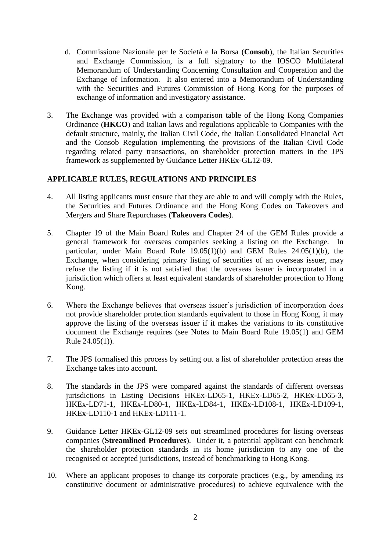- d. Commissione Nazionale per le Società e la Borsa (**Consob**), the Italian Securities and Exchange Commission, is a full signatory to the IOSCO Multilateral Memorandum of Understanding Concerning Consultation and Cooperation and the Exchange of Information. It also entered into a Memorandum of Understanding with the Securities and Futures Commission of Hong Kong for the purposes of exchange of information and investigatory assistance.
- 3. The Exchange was provided with a comparison table of the Hong Kong Companies Ordinance (**HKCO**) and Italian laws and regulations applicable to Companies with the default structure, mainly, the Italian Civil Code, the Italian Consolidated Financial Act and the Consob Regulation implementing the provisions of the Italian Civil Code regarding related party transactions, on shareholder protection matters in the JPS framework as supplemented by Guidance Letter HKEx-GL12-09.

# **APPLICABLE RULES, REGULATIONS AND PRINCIPLES**

- 4. All listing applicants must ensure that they are able to and will comply with the Rules, the Securities and Futures Ordinance and the Hong Kong Codes on Takeovers and Mergers and Share Repurchases (**Takeovers Codes**).
- 5. Chapter 19 of the Main Board Rules and Chapter 24 of the GEM Rules provide a general framework for overseas companies seeking a listing on the Exchange. In particular, under Main Board Rule 19.05(1)(b) and GEM Rules 24.05(1)(b), the Exchange, when considering primary listing of securities of an overseas issuer, may refuse the listing if it is not satisfied that the overseas issuer is incorporated in a jurisdiction which offers at least equivalent standards of shareholder protection to Hong Kong.
- 6. Where the Exchange believes that overseas issuer's jurisdiction of incorporation does not provide shareholder protection standards equivalent to those in Hong Kong, it may approve the listing of the overseas issuer if it makes the variations to its constitutive document the Exchange requires (see Notes to Main Board Rule 19.05(1) and GEM Rule 24.05(1)).
- 7. The JPS formalised this process by setting out a list of shareholder protection areas the Exchange takes into account.
- 8. The standards in the JPS were compared against the standards of different overseas jurisdictions in Listing Decisions HKEx-LD65-1, HKEx-LD65-2, HKEx-LD65-3, HKEx-LD71-1, HKEx-LD80-1, HKEx-LD84-1, HKEx-LD108-1, HKEx-LD109-1, HKEx-LD110-1 and HKEx-LD111-1.
- 9. Guidance Letter HKEx-GL12-09 sets out streamlined procedures for listing overseas companies (**Streamlined Procedures**). Under it, a potential applicant can benchmark the shareholder protection standards in its home jurisdiction to any one of the recognised or accepted jurisdictions, instead of benchmarking to Hong Kong.
- 10. Where an applicant proposes to change its corporate practices (e.g., by amending its constitutive document or administrative procedures) to achieve equivalence with the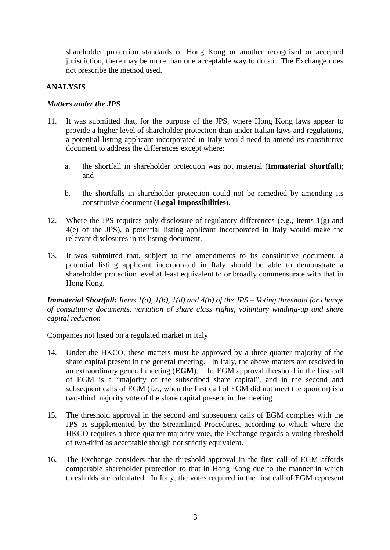shareholder protection standards of Hong Kong or another recognised or accepted jurisdiction, there may be more than one acceptable way to do so. The Exchange does not prescribe the method used.

#### **ANALYSIS**

#### *Matters under the JPS*

- 11. It was submitted that, for the purpose of the JPS, where Hong Kong laws appear to provide a higher level of shareholder protection than under Italian laws and regulations, a potential listing applicant incorporated in Italy would need to amend its constitutive document to address the differences except where:
	- a. the shortfall in shareholder protection was not material (**Immaterial Shortfall**); and
	- b. the shortfalls in shareholder protection could not be remedied by amending its constitutive document (**Legal Impossibilities**).
- 12. Where the JPS requires only disclosure of regulatory differences (e.g., Items 1(g) and 4(e) of the JPS), a potential listing applicant incorporated in Italy would make the relevant disclosures in its listing document.
- 13. It was submitted that, subject to the amendments to its constitutive document, a potential listing applicant incorporated in Italy should be able to demonstrate a shareholder protection level at least equivalent to or broadly commensurate with that in Hong Kong.

*Immaterial Shortfall: Items 1(a), 1(b), 1(d) and 4(b) of the JPS – Voting threshold for change of constitutive documents, variation of share class rights, voluntary winding-up and share capital reduction*

#### Companies not listed on a regulated market in Italy

- 14. Under the HKCO, these matters must be approved by a three-quarter majority of the share capital present in the general meeting. In Italy, the above matters are resolved in an extraordinary general meeting (**EGM**). The EGM approval threshold in the first call of EGM is a "majority of the subscribed share capital", and in the second and subsequent calls of EGM (i.e., when the first call of EGM did not meet the quorum) is a two-third majority vote of the share capital present in the meeting.
- 15. The threshold approval in the second and subsequent calls of EGM complies with the JPS as supplemented by the Streamlined Procedures, according to which where the HKCO requires a three-quarter majority vote, the Exchange regards a voting threshold of two-third as acceptable though not strictly equivalent.
- 16. The Exchange considers that the threshold approval in the first call of EGM affords comparable shareholder protection to that in Hong Kong due to the manner in which thresholds are calculated. In Italy, the votes required in the first call of EGM represent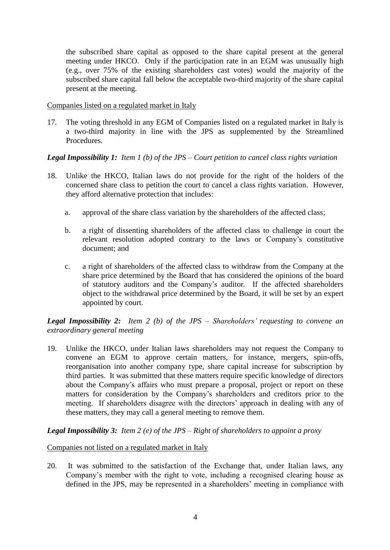the subscribed share capital as opposed to the share capital present at the general meeting under HKCO. Only if the participation rate in an EGM was unusually high (e.g., over 75% of the existing shareholders cast votes) would the majority of the subscribed share capital fall below the acceptable two-third majority of the share capital present at the meeting.

#### Companies listed on a regulated market in Italy

17. The voting threshold in any EGM of Companies listed on a regulated market in Italy is a two-third majority in line with the JPS as supplemented by the Streamlined **Procedures** 

## *Legal Impossibility 1: Item 1 (b) of the JPS – Court petition to cancel class rights variation*

- 18. Unlike the HKCO, Italian laws do not provide for the right of the holders of the concerned share class to petition the court to cancel a class rights variation. However, they afford alternative protection that includes:
	- a. approval of the share class variation by the shareholders of the affected class;
	- b. a right of dissenting shareholders of the affected class to challenge in court the relevant resolution adopted contrary to the laws or Company's constitutive document; and
	- c. a right of shareholders of the affected class to withdraw from the Company at the share price determined by the Board that has considered the opinions of the board of statutory auditors and the Company's auditor. If the affected shareholders object to the withdrawal price determined by the Board, it will be set by an expert appointed by court.

*Legal Impossibility 2: Item 2 (b) of the JPS – Shareholders' requesting to convene an extraordinary general meeting*

19. Unlike the HKCO, under Italian laws shareholders may not request the Company to convene an EGM to approve certain matters, for instance, mergers, spin-offs, reorganisation into another company type, share capital increase for subscription by third parties. It was submitted that these matters require specific knowledge of directors about the Company's affairs who must prepare a proposal, project or report on these matters for consideration by the Company's shareholders and creditors prior to the meeting. If shareholders disagree with the directors' approach in dealing with any of these matters, they may call a general meeting to remove them.

## *Legal Impossibility 3: Item 2 (e) of the JPS – Right of shareholders to appoint a proxy*

## Companies not listed on a regulated market in Italy

20. It was submitted to the satisfaction of the Exchange that, under Italian laws, any Company's member with the right to vote, including a recognised clearing house as defined in the JPS, may be represented in a shareholders' meeting in compliance with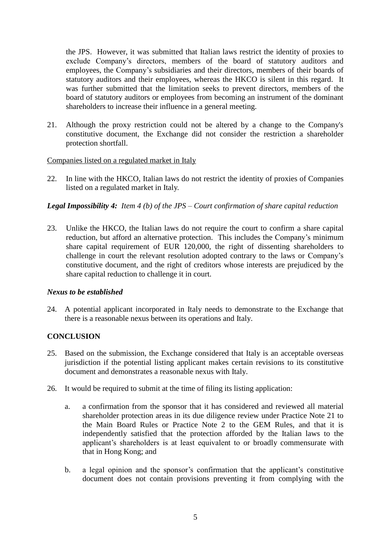the JPS. However, it was submitted that Italian laws restrict the identity of proxies to exclude Company's directors, members of the board of statutory auditors and employees, the Company's subsidiaries and their directors, members of their boards of statutory auditors and their employees, whereas the HKCO is silent in this regard. It was further submitted that the limitation seeks to prevent directors, members of the board of statutory auditors or employees from becoming an instrument of the dominant shareholders to increase their influence in a general meeting.

21. Although the proxy restriction could not be altered by a change to the Company's constitutive document, the Exchange did not consider the restriction a shareholder protection shortfall.

#### Companies listed on a regulated market in Italy

22. In line with the HKCO, Italian laws do not restrict the identity of proxies of Companies listed on a regulated market in Italy.

## *Legal Impossibility 4: Item 4 (b) of the JPS – Court confirmation of share capital reduction*

23. Unlike the HKCO, the Italian laws do not require the court to confirm a share capital reduction, but afford an alternative protection. This includes the Company's minimum share capital requirement of EUR 120,000, the right of dissenting shareholders to challenge in court the relevant resolution adopted contrary to the laws or Company's constitutive document, and the right of creditors whose interests are prejudiced by the share capital reduction to challenge it in court.

#### *Nexus to be established*

24. A potential applicant incorporated in Italy needs to demonstrate to the Exchange that there is a reasonable nexus between its operations and Italy.

## **CONCLUSION**

- 25. Based on the submission, the Exchange considered that Italy is an acceptable overseas jurisdiction if the potential listing applicant makes certain revisions to its constitutive document and demonstrates a reasonable nexus with Italy.
- 26. It would be required to submit at the time of filing its listing application:
	- a. a confirmation from the sponsor that it has considered and reviewed all material shareholder protection areas in its due diligence review under Practice Note 21 to the Main Board Rules or Practice Note 2 to the GEM Rules, and that it is independently satisfied that the protection afforded by the Italian laws to the applicant's shareholders is at least equivalent to or broadly commensurate with that in Hong Kong; and
	- b. a legal opinion and the sponsor's confirmation that the applicant's constitutive document does not contain provisions preventing it from complying with the